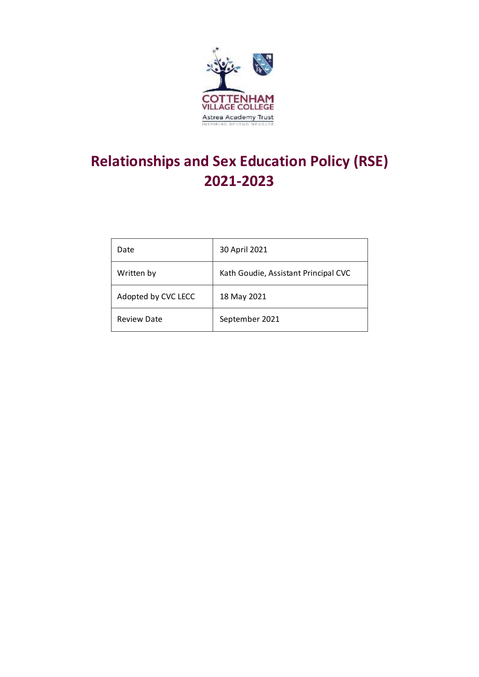

# **Relationships and Sex Education Policy (RSE) 2021-2023**

| Date                | 30 April 2021                        |
|---------------------|--------------------------------------|
| Written by          | Kath Goudie, Assistant Principal CVC |
| Adopted by CVC LECC | 18 May 2021                          |
| <b>Review Date</b>  | September 2021                       |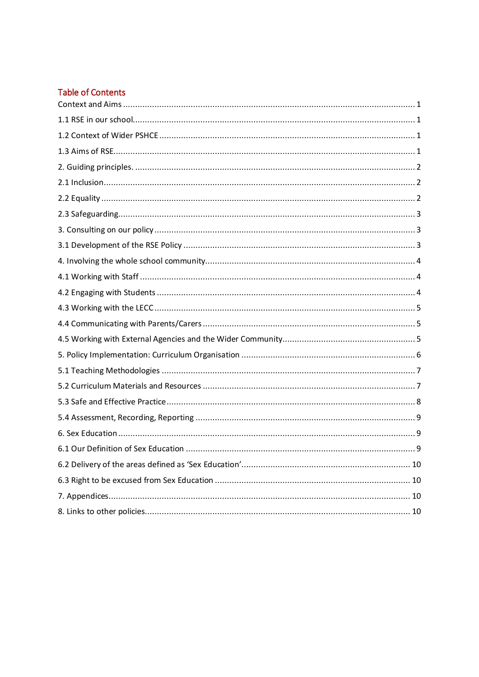### **Table of Contents**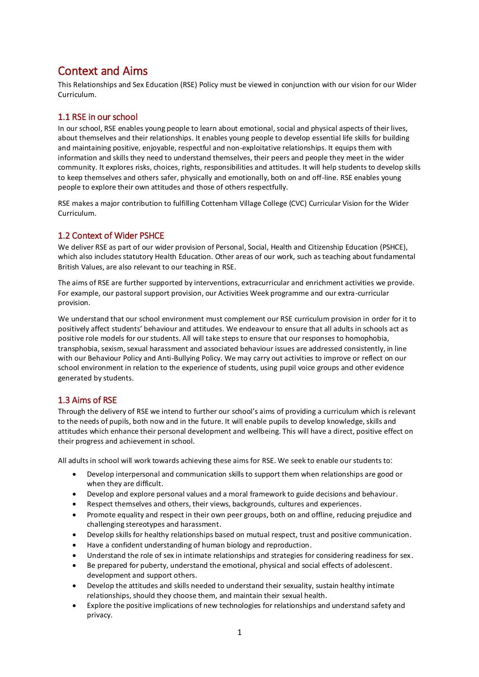# <span id="page-2-0"></span>Context and Aims

This Relationships and Sex Education (RSE) Policy must be viewed in conjunction with our vision for our Wider Curriculum.

#### <span id="page-2-1"></span>1.1 RSE in our school

In our school, RSE enables young people to learn about emotional, social and physical aspects of their lives, about themselves and their relationships. It enables young people to develop essential life skills for building and maintaining positive, enjoyable, respectful and non-exploitative relationships. It equips them with information and skills they need to understand themselves, their peers and people they meet in the wider community. It explores risks, choices, rights, responsibilities and attitudes. It will help students to develop skills to keep themselves and others safer, physically and emotionally, both on and off-line. RSE enables young people to explore their own attitudes and those of others respectfully.

RSE makes a major contribution to fulfilling Cottenham Village College (CVC) Curricular Vision for the Wider Curriculum.

#### <span id="page-2-2"></span>1.2 Context of Wider PSHCE

We deliver RSE as part of our wider provision of Personal, Social, Health and Citizenship Education (PSHCE), which also includes statutory Health Education. Other areas of our work, such as teaching about fundamental British Values, are also relevant to our teaching in RSE.

The aims of RSE are further supported by interventions, extracurricular and enrichment activities we provide. For example, our pastoral support provision, our Activities Week programme and our extra-curricular provision.

We understand that our school environment must complement our RSE curriculum provision in order for it to positively affect students' behaviour and attitudes. We endeavour to ensure that all adults in schools act as positive role models for our students. All will take steps to ensure that our responses to homophobia, transphobia, sexism, sexual harassment and associated behaviour issues are addressed consistently, in line with our Behaviour Policy and Anti-Bullying Policy. We may carry out activities to improve or reflect on our school environment in relation to the experience of students, using pupil voice groups and other evidence generated by students.

#### <span id="page-2-3"></span>1.3 Aims of RSE

Through the delivery of RSE we intend to further our school's aims of providing a curriculum which is relevant to the needs of pupils, both now and in the future. It will enable pupils to develop knowledge, skills and attitudes which enhance their personal development and wellbeing. This will have a direct, positive effect on their progress and achievement in school.

All adults in school will work towards achieving these aims for RSE. We seek to enable our students to:

- Develop interpersonal and communication skills to support them when relationships are good or when they are difficult.
- Develop and explore personal values and a moral framework to guide decisions and behaviour.
- Respect themselves and others, their views, backgrounds, cultures and experiences.
- Promote equality and respect in their own peer groups, both on and offline, reducing prejudice and challenging stereotypes and harassment.
- Develop skills for healthy relationships based on mutual respect, trust and positive communication.
- Have a confident understanding of human biology and reproduction.
- Understand the role of sex in intimate relationships and strategies for considering readiness for sex.
- Be prepared for puberty, understand the emotional, physical and social effects of adolescent. development and support others.
- Develop the attitudes and skills needed to understand their sexuality, sustain healthy intimate relationships, should they choose them, and maintain their sexual health.
- Explore the positive implications of new technologies for relationships and understand safety and privacy.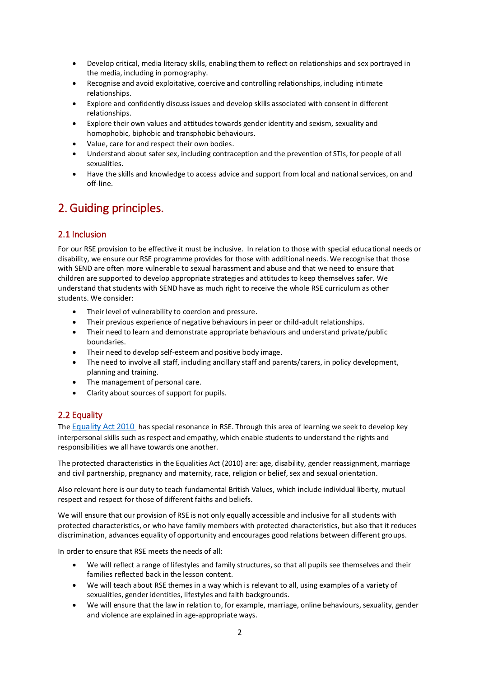- Develop critical, media literacy skills, enabling them to reflect on relationships and sex portrayed in the media, including in pornography.
- Recognise and avoid exploitative, coercive and controlling relationships, including intimate relationships.
- Explore and confidently discuss issues and develop skills associated with consent in different relationships.
- Explore their own values and attitudes towards gender identity and sexism, sexuality and homophobic, biphobic and transphobic behaviours.
- Value, care for and respect their own bodies.
- Understand about safer sex, including contraception and the prevention of STIs, for people of all sexualities.
- Have the skills and knowledge to access advice and support from local and national services, on and off-line.

# <span id="page-3-0"></span>2. Guiding principles.

#### <span id="page-3-1"></span>2.1 Inclusion

For our RSE provision to be effective it must be inclusive. In relation to those with special educational needs or disability, we ensure our RSE programme provides for those with additional needs. We recognise that those with SEND are often more vulnerable to sexual harassment and abuse and that we need to ensure that children are supported to develop appropriate strategies and attitudes to keep themselves safer. We understand that students with SEND have as much right to receive the whole RSE curriculum as other students. We consider:

- Their level of vulnerability to coercion and pressure.
- Their previous experience of negative behaviours in peer or child-adult relationships.
- Their need to learn and demonstrate appropriate behaviours and understand private/public boundaries.
- Their need to develop self-esteem and positive body image.
- The need to involve all staff, including ancillary staff and parents/carers, in policy development, planning and training.
- The management of personal care.
- Clarity about sources of support for pupils.

#### <span id="page-3-2"></span>2.2 Equality

The [Equality Act 2010](http://www.legislation.gov.uk/ukpga/2010/15/contents) has special resonance in RSE. Through this area of learning we seek to develop key interpersonal skills such as respect and empathy, which enable students to understand the rights and responsibilities we all have towards one another.

The protected characteristics in the Equalities Act (2010) are: age, disability, gender reassignment, marriage and civil partnership, pregnancy and maternity, race, religion or belief, sex and sexual orientation.

Also relevant here is our duty to teach fundamental British Values, which include individual liberty, mutual respect and respect for those of different faiths and beliefs.

We will ensure that our provision of RSE is not only equally accessible and inclusive for all students with protected characteristics, or who have family members with protected characteristics, but also that it reduces discrimination, advances equality of opportunity and encourages good relations between different groups.

In order to ensure that RSE meets the needs of all:

- We will reflect a range of lifestyles and family structures, so that all pupils see themselves and their families reflected back in the lesson content.
- We will teach about RSE themes in a way which is relevant to all, using examples of a variety of sexualities, gender identities, lifestyles and faith backgrounds.
- We will ensure that the law in relation to, for example, marriage, online behaviours, sexuality, gender and violence are explained in age-appropriate ways.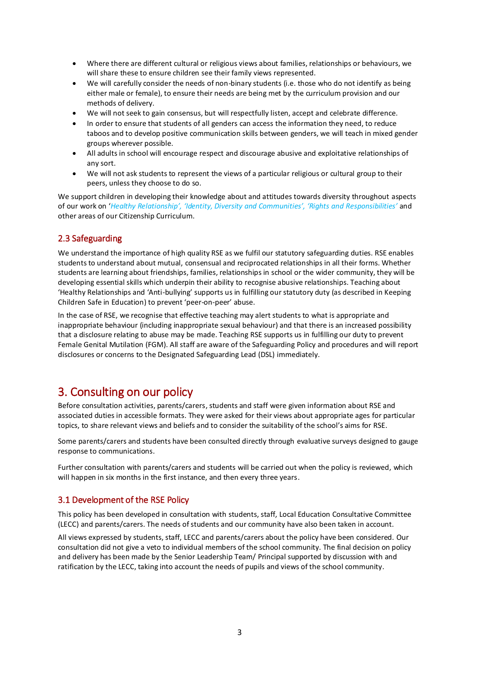- Where there are different cultural or religious views about families, relationships or behaviours, we will share these to ensure children see their family views represented.
- We will carefully consider the needs of non-binary students (i.e. those who do not identify as being either male or female), to ensure their needs are being met by the curriculum provision and our methods of delivery.
- We will not seek to gain consensus, but will respectfully listen, accept and celebrate difference.
- In order to ensure that students of all genders can access the information they need, to reduce taboos and to develop positive communication skills between genders, we will teach in mixed gender groups wherever possible.
- All adults in school will encourage respect and discourage abusive and exploitative relationships of any sort.
- We will not ask students to represent the views of a particular religious or cultural group to their peers, unless they choose to do so.

We support children in developing their knowledge about and attitudes towards diversity throughout aspects of our work on '*Healthy Relationship', 'Identity, Diversity and Communities', 'Rights and Responsibilities'* and other areas of our Citizenship Curriculum.

#### <span id="page-4-0"></span>2.3 Safeguarding

We understand the importance of high quality RSE as we fulfil our statutory safeguarding duties. RSE enables students to understand about mutual, consensual and reciprocated relationships in all their forms. Whether students are learning about friendships, families, relationships in school or the wider community, they will be developing essential skills which underpin their ability to recognise abusive relationships. Teaching about 'Healthy Relationships and 'Anti-bullying' supports us in fulfilling our statutory duty (as described in Keeping Children Safe in Education) to prevent 'peer-on-peer' abuse.

In the case of RSE, we recognise that effective teaching may alert students to what is appropriate and inappropriate behaviour (including inappropriate sexual behaviour) and that there is an increased possibility that a disclosure relating to abuse may be made. Teaching RSE supports us in fulfilling our duty to prevent Female Genital Mutilation (FGM). All staff are aware of the Safeguarding Policy and procedures and will report disclosures or concerns to the Designated Safeguarding Lead (DSL) immediately.

### <span id="page-4-1"></span>3. Consulting on our policy

Before consultation activities, parents/carers, students and staff were given information about RSE and associated duties in accessible formats. They were asked for their views about appropriate ages for particular topics, to share relevant views and beliefs and to consider the suitability of the school's aims for RSE.

Some parents/carers and students have been consulted directly through evaluative surveys designed to gauge response to communications.

Further consultation with parents/carers and students will be carried out when the policy is reviewed, which will happen in six months in the first instance, and then every three years.

#### <span id="page-4-2"></span>3.1 Development of the RSE Policy

This policy has been developed in consultation with students, staff, Local Education Consultative Committee (LECC) and parents/carers. The needs of students and our community have also been taken in account.

All views expressed by students, staff, LECC and parents/carers about the policy have been considered. Our consultation did not give a veto to individual members of the school community. The final decision on policy and delivery has been made by the Senior Leadership Team/ Principal supported by discussion with and ratification by the LECC, taking into account the needs of pupils and views of the school community.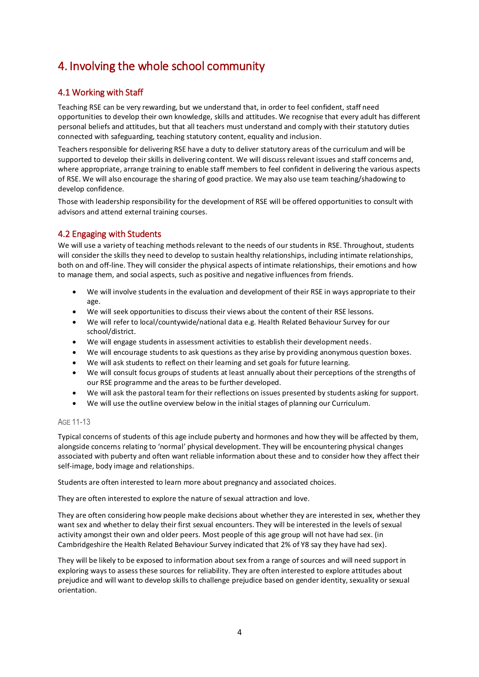# <span id="page-5-0"></span>4. Involving the whole school community

#### <span id="page-5-1"></span>4.1 Working with Staff

Teaching RSE can be very rewarding, but we understand that, in order to feel confident, staff need opportunities to develop their own knowledge, skills and attitudes. We recognise that every adult has different personal beliefs and attitudes, but that all teachers must understand and comply with their statutory duties connected with safeguarding, teaching statutory content, equality and inclusion.

Teachers responsible for delivering RSE have a duty to deliver statutory areas of the curriculum and will be supported to develop their skills in delivering content. We will discuss relevant issues and staff concerns and, where appropriate, arrange training to enable staff members to feel confident in delivering the various aspects of RSE. We will also encourage the sharing of good practice. We may also use team teaching/shadowing to develop confidence.

Those with leadership responsibility for the development of RSE will be offered opportunities to consult with advisors and attend external training courses.

#### <span id="page-5-2"></span>4.2 Engaging with Students

We will use a variety of teaching methods relevant to the needs of our students in RSE. Throughout, students will consider the skills they need to develop to sustain healthy relationships, including intimate relationships, both on and off-line. They will consider the physical aspects of intimate relationships, their emotions and how to manage them, and social aspects, such as positive and negative influences from friends.

- We will involve students in the evaluation and development of their RSE in ways appropriate to their age.
- We will seek opportunities to discuss their views about the content of their RSE lessons.
- We will refer to local/countywide/national data e.g. Health Related Behaviour Survey for our school/district.
- We will engage students in assessment activities to establish their development needs.
- We will encourage students to ask questions as they arise by providing anonymous question boxes.
- We will ask students to reflect on their learning and set goals for future learning.
- We will consult focus groups of students at least annually about their perceptions of the strengths of our RSE programme and the areas to be further developed.
- We will ask the pastoral team for their reflections on issues presented by students asking for support.
- We will use the outline overview below in the initial stages of planning our Curriculum.

#### AGE 11-13

Typical concerns of students of this age include puberty and hormones and how they will be affected by them, alongside concerns relating to 'normal' physical development. They will be encountering physical changes associated with puberty and often want reliable information about these and to consider how they affect their self-image, body image and relationships.

Students are often interested to learn more about pregnancy and associated choices.

They are often interested to explore the nature of sexual attraction and love.

They are often considering how people make decisions about whether they are interested in sex, whether they want sex and whether to delay their first sexual encounters. They will be interested in the levels of sexual activity amongst their own and older peers. Most people of this age group will not have had sex. (in Cambridgeshire the Health Related Behaviour Survey indicated that 2% of Y8 say they have had sex).

They will be likely to be exposed to information about sex from a range of sources and will need support in exploring ways to assess these sources for reliability. They are often interested to explore attitudes about prejudice and will want to develop skills to challenge prejudice based on gender identity, sexuality or sexual orientation.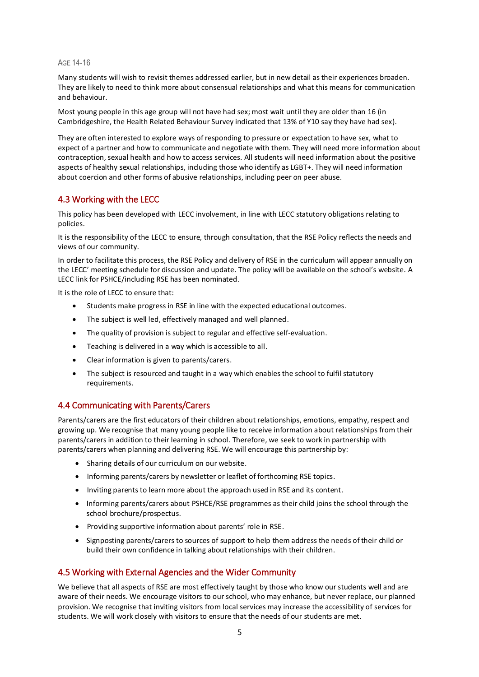AGE 14-16

Many students will wish to revisit themes addressed earlier, but in new detail as their experiences broaden. They are likely to need to think more about consensual relationships and what this means for communication and behaviour.

Most young people in this age group will not have had sex; most wait until they are older than 16 (in Cambridgeshire, the Health Related Behaviour Survey indicated that 13% of Y10 say they have had sex).

They are often interested to explore ways of responding to pressure or expectation to have sex, what to expect of a partner and how to communicate and negotiate with them. They will need more information about contraception, sexual health and how to access services. All students will need information about the positive aspects of healthy sexual relationships, including those who identify as LGBT+. They will need information about coercion and other forms of abusive relationships, including peer on peer abuse.

#### <span id="page-6-0"></span>4.3 Working with the LECC

This policy has been developed with LECC involvement, in line with LECC statutory obligations relating to policies.

It is the responsibility of the LECC to ensure, through consultation, that the RSE Policy reflects the needs and views of our community.

In order to facilitate this process, the RSE Policy and delivery of RSE in the curriculum will appear annually on the LECC' meeting schedule for discussion and update. The policy will be available on the school's website*.* A LECC link for PSHCE/including RSE has been nominated.

It is the role of LECC to ensure that:

- Students make progress in RSE in line with the expected educational outcomes.
- The subject is well led, effectively managed and well planned.
- The quality of provision is subject to regular and effective self-evaluation.
- Teaching is delivered in a way which is accessible to all.
- Clear information is given to parents/carers.
- The subject is resourced and taught in a way which enables the school to fulfil statutory requirements.

#### <span id="page-6-1"></span>4.4 Communicating with Parents/Carers

Parents/carers are the first educators of their children about relationships, emotions, empathy, respect and growing up. We recognise that many young people like to receive information about relationships from their parents/carers in addition to their learning in school. Therefore, we seek to work in partnership with parents/carers when planning and delivering RSE. We will encourage this partnership by:

- Sharing details of our curriculum on our website.
- Informing parents/carers by newsletter or leaflet of forthcoming RSE topics.
- Inviting parents to learn more about the approach used in RSE and its content.
- Informing parents/carers about PSHCE/RSE programmes as their child joins the school through the school brochure/prospectus.
- Providing supportive information about parents' role in RSE.
- Signposting parents/carers to sources of support to help them address the needs of their child or build their own confidence in talking about relationships with their children.

#### <span id="page-6-2"></span>4.5 Working with External Agencies and the Wider Community

We believe that all aspects of RSE are most effectively taught by those who know our students well and are aware of their needs. We encourage visitors to our school, who may enhance, but never replace, our planned provision. We recognise that inviting visitors from local services may increase the accessibility of services for students. We will work closely with visitors to ensure that the needs of our students are met.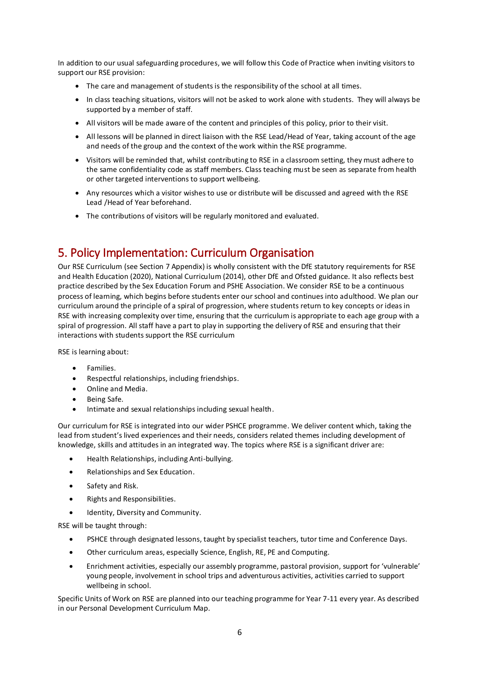In addition to our usual safeguarding procedures, we will follow this Code of Practice when inviting visitors to support our RSE provision:

- The care and management of students is the responsibility of the school at all times.
- In class teaching situations, visitors will not be asked to work alone with students. They will always be supported by a member of staff.
- All visitors will be made aware of the content and principles of this policy, prior to their visit.
- All lessons will be planned in direct liaison with the RSE Lead/Head of Year, taking account of the age and needs of the group and the context of the work within the RSE programme.
- Visitors will be reminded that, whilst contributing to RSE in a classroom setting, they must adhere to the same confidentiality code as staff members. Class teaching must be seen as separate from health or other targeted interventions to support wellbeing.
- Any resources which a visitor wishes to use or distribute will be discussed and agreed with the RSE Lead /Head of Year beforehand.
- The contributions of visitors will be regularly monitored and evaluated.

# <span id="page-7-0"></span>5. Policy Implementation: Curriculum Organisation

Our RSE Curriculum (see Section 7 Appendix) is wholly consistent with the DfE statutory requirements for RSE and Health Education (2020), National Curriculum (2014), other DfE and Ofsted guidance. It also reflects best practice described by the Sex Education Forum and PSHE Association. We consider RSE to be a continuous process of learning, which begins before students enter our school and continues into adulthood*.* We plan our curriculum around the principle of a spiral of progression, where students return to key concepts or ideas in RSE with increasing complexity over time, ensuring that the curriculum is appropriate to each age group with a spiral of progression. All staff have a part to play in supporting the delivery of RSE and ensuring that their interactions with students support the RSE curriculum

RSE is learning about:

- **•** Families.
- Respectful relationships, including friendships.
- Online and Media.
- Being Safe.
- Intimate and sexual relationships including sexual health.

Our curriculum for RSE is integrated into our wider PSHCE programme. We deliver content which, taking the lead from student's lived experiences and their needs, considers related themes including development of knowledge, skills and attitudes in an integrated way. The topics where RSE is a significant driver are:

- Health Relationships, including Anti-bullying.
- Relationships and Sex Education.
- Safety and Risk.
- Rights and Responsibilities.
- Identity, Diversity and Community.

RSE will be taught through:

- PSHCE through designated lessons, taught by specialist teachers, tutor time and Conference Days.
- Other curriculum areas, especially Science, English, RE, PE and Computing.
- Enrichment activities, especially our assembly programme, pastoral provision, support for 'vulnerable' young people, involvement in school trips and adventurous activities, activities carried to support wellbeing in school.

Specific Units of Work on RSE are planned into our teaching programme for Year 7-11 every year. As described in our Personal Development Curriculum Map.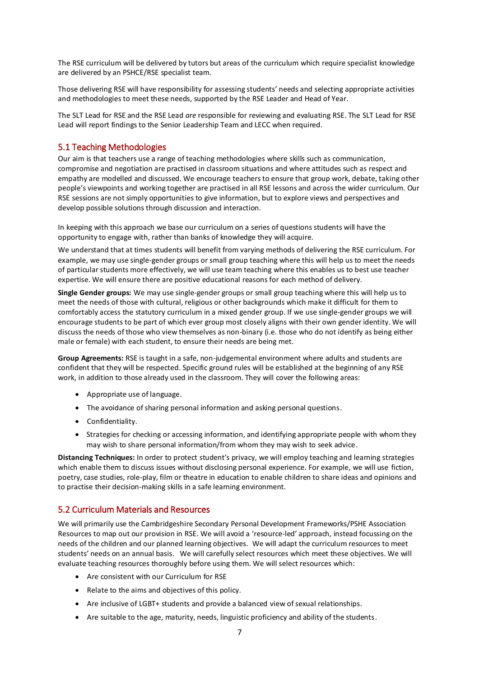The RSE curriculum will be delivered by tutors but areas of the curriculum which require specialist knowledge are delivered by an PSHCE/RSE specialist team.

Those delivering RSE will have responsibility for assessing students' needs and selecting appropriate activities and methodologies to meet these needs, supported by the RSE Leader and Head of Year.

The SLT Lead for RSE and the RSE Lead *are* responsible for reviewing and evaluating RSE. The SLT Lead for RSE Lead will report findings to the Senior Leadership Team and LECC when required.

#### <span id="page-8-0"></span>5.1 Teaching Methodologies

Our aim is that teachers use a range of teaching methodologies where skills such as communication, compromise and negotiation are practised in classroom situations and where attitudes such as respect and empathy are modelled and discussed. We encourage teachers to ensure that group work, debate, taking other people's viewpoints and working together are practised in all RSE lessons and across the wider curriculum. Our RSE sessions are not simply opportunities to give information, but to explore views and perspectives and develop possible solutions through discussion and interaction.

In keeping with this approach we base our curriculum on a series of questions students will have the opportunity to engage with, rather than banks of knowledge they will acquire.

We understand that at times students will benefit from varying methods of delivering the RSE curriculum. For example, we may use single-gender groups or small group teaching where this will help us to meet the needs of particular students more effectively, we will use team teaching where this enables us to best use teacher expertise. We will ensure there are positive educational reasons for each method of delivery.

**Single Gender groups:** We may use single-gender groups or small group teaching where this will help us to meet the needs of those with cultural, religious or other backgrounds which make it difficult for them to comfortably access the statutory curriculum in a mixed gender group. If we use single-gender groups we will encourage students to be part of which ever group most closely aligns with their own gender identity. We will discuss the needs of those who view themselves as non-binary (i.e. those who do not identify as being either male or female) with each student, to ensure their needs are being met.

**Group Agreements:** RSE is taught in a safe, non-judgemental environment where adults and students are confident that they will be respected. Specific ground rules will be established at the beginning of any RSE work, in addition to those already used in the classroom. They will cover the following areas:

- Appropriate use of language.
- The avoidance of sharing personal information and asking personal questions.
- Confidentiality.
- Strategies for checking or accessing information, and identifying appropriate people with whom they may wish to share personal information/from whom they may wish to seek advice.

**Distancing Techniques:** In order to protect student's privacy, we will employ teaching and learning strategies which enable them to discuss issues without disclosing personal experience. For example, we will use fiction, poetry, case studies, role-play, film or theatre in education to enable children to share ideas and opinions and to practise their decision-making skills in a safe learning environment.

#### <span id="page-8-1"></span>5.2 Curriculum Materials and Resources

We will primarily use the Cambridgeshire Secondary Personal Development Frameworks/PSHE Association Resources to map out our provision in RSE. We will avoid a 'resource-led' approach, instead focussing on the needs of the children and our planned learning objectives. We will adapt the curriculum resources to meet students' needs on an annual basis. We will carefully select resources which meet these objectives. We will evaluate teaching resources thoroughly before using them. We will select resources which:

- Are consistent with our Curriculum for RSE
- Relate to the aims and objectives of this policy.
- Are inclusive of LGBT+ students and provide a balanced view of sexual relationships.
- Are suitable to the age, maturity, needs, linguistic proficiency and ability of the students.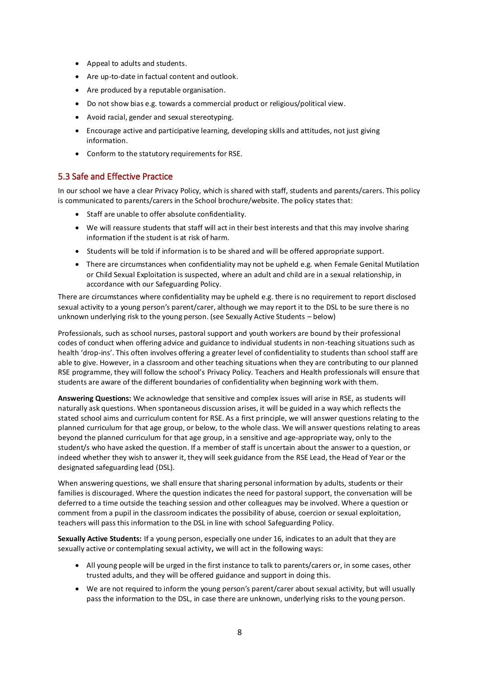- Appeal to adults and students.
- Are up-to-date in factual content and outlook.
- Are produced by a reputable organisation.
- Do not show bias e.g. towards a commercial product or religious/political view.
- Avoid racial, gender and sexual stereotyping.
- Encourage active and participative learning, developing skills and attitudes, not just giving information.
- Conform to the statutory requirements for RSE.

#### <span id="page-9-0"></span>5.3 Safe and Effective Practice

In our school we have a clear Privacy Policy, which is shared with staff, students and parents/carers. This policy is communicated to parents/carers in the School brochure/website. The policy states that:

- Staff are unable to offer absolute confidentiality.
- We will reassure students that staff will act in their best interests and that this may involve sharing information if the student is at risk of harm.
- Students will be told if information is to be shared and will be offered appropriate support.
- There are circumstances when confidentiality may not be upheld e.g. when Female Genital Mutilation or Child Sexual Exploitation is suspected, where an adult and child are in a sexual relationship, in accordance with our Safeguarding Policy.

There are circumstances where confidentiality may be upheld e.g. there is no requirement to report disclosed sexual activity to a young person's parent/carer, although we may report it to the DSL to be sure there is no unknown underlying risk to the young person. (see Sexually Active Students – below)

Professionals, such as school nurses, pastoral support and youth workers are bound by their professional codes of conduct when offering advice and guidance to individual students in non-teaching situations such as health 'drop-ins'. This often involves offering a greater level of confidentiality to students than school staff are able to give. However, in a classroom and other teaching situations when they are contributing to our planned RSE programme, they will follow the school's Privacy Policy. Teachers and Health professionals will ensure that students are aware of the different boundaries of confidentiality when beginning work with them.

**Answering Questions:** We acknowledge that sensitive and complex issues will arise in RSE, as students will naturally ask questions. When spontaneous discussion arises, it will be guided in a way which reflects the stated school aims and curriculum content for RSE. As a first principle, we will answer questions relating to the planned curriculum for that age group, or below, to the whole class. We will answer questions relating to areas beyond the planned curriculum for that age group, in a sensitive and age-appropriate way, only to the student/s who have asked the question. If a member of staff is uncertain about the answer to a question, or indeed whether they wish to answer it, they will seek guidance from the RSE Lead, the Head of Year or the designated safeguarding lead (DSL).

When answering questions, we shall ensure that sharing personal information by adults, students or their families is discouraged. Where the question indicates the need for pastoral support, the conversation will be deferred to a time outside the teaching session and other colleagues may be involved. Where a question or comment from a pupil in the classroom indicates the possibility of abuse, coercion or sexual exploitation, teachers will pass this information to the DSL in line with school Safeguarding Policy.

**Sexually Active Students:** If a young person, especially one under 16, indicates to an adult that they are sexually active or contemplating sexual activity**,** we will act in the following ways:

- All young people will be urged in the first instance to talk to parents/carers or, in some cases, other trusted adults, and they will be offered guidance and support in doing this.
- We are not required to inform the young person's parent/carer about sexual activity, but will usually pass the information to the DSL, in case there are unknown, underlying risks to the young person.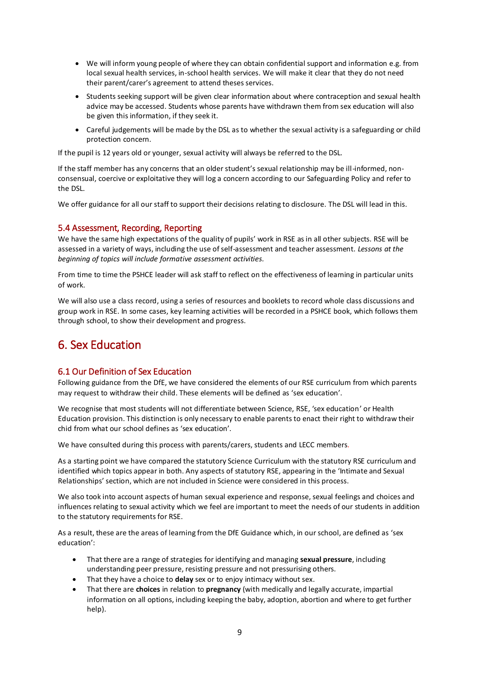- We will inform young people of where they can obtain confidential support and information e.g. from local sexual health services, in-school health services. We will make it clear that they do not need their parent/carer's agreement to attend theses services.
- Students seeking support will be given clear information about where contraception and sexual health advice may be accessed. Students whose parents have withdrawn them from sex education will also be given this information, if they seek it.
- Careful judgements will be made by the DSL as to whether the sexual activity is a safeguarding or child protection concern.

If the pupil is 12 years old or younger, sexual activity will always be referred to the DSL.

If the staff member has any concerns that an older student's sexual relationship may be ill-informed, nonconsensual, coercive or exploitative they will log a concern according to our Safeguarding Policy and refer to the DSL.

We offer guidance for all our staff to support their decisions relating to disclosure. The DSL will lead in this.

#### <span id="page-10-0"></span>5.4 Assessment, Recording, Reporting

We have the same high expectations of the quality of pupils' work in RSE as in all other subjects. RSE will be assessed in a variety of ways, including the use of self-assessment and teacher assessment. *Lessons at the beginning of topics will include formative assessment activities.*

From time to time the PSHCE leader will ask staff to reflect on the effectiveness of learning in particular units of work.

We will also use a class record, using a series of resources and booklets to record whole class discussions and group work in RSE. In some cases, key learning activities will be recorded in a PSHCE book, which follows them through school, to show their development and progress.

# <span id="page-10-1"></span>6. Sex Education

#### <span id="page-10-2"></span>6.1 Our Definition of Sex Education

Following guidance from the DfE, we have considered the elements of our RSE curriculum from which parents may request to withdraw their child. These elements will be defined as 'sex education'.

We recognise that most students will not differentiate between Science, RSE, 'sex education' or Health Education provision. This distinction is only necessary to enable parents to enact their right to withdraw their chid from what our school defines as 'sex education'.

We have consulted during this process with parents/carers, students and LECC members*.*

As a starting point we have compared the statutory Science Curriculum with the statutory RSE curriculum and identified which topics appear in both. Any aspects of statutory RSE, appearing in the 'Intimate and Sexual Relationships' section, which are not included in Science were considered in this process.

We also took into account aspects of human sexual experience and response, sexual feelings and choices and influences relating to sexual activity which we feel are important to meet the needs of our students in addition to the statutory requirements for RSE.

As a result, these are the areas of learning from the DfE Guidance which, in our school, are defined as 'sex education':

- That there are a range of strategies for identifying and managing **sexual pressure**, including understanding peer pressure, resisting pressure and not pressurising others.
- That they have a choice to **delay** sex or to enjoy intimacy without sex.
- That there are **choices** in relation to **pregnancy** (with medically and legally accurate, impartial information on all options, including keeping the baby, adoption, abortion and where to get further help).